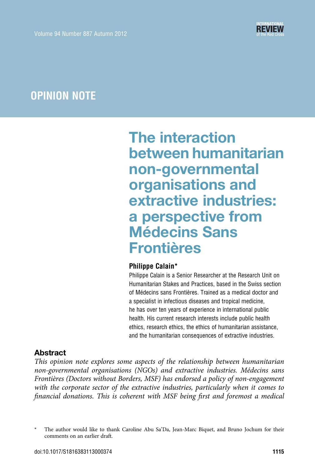# OPINION NOTE

The interaction between humanitarian non-governmental organisations and extractive industries: a perspective from Médecins Sans Frontières

#### Philippe Calain\*

Philippe Calain is a Senior Researcher at the Research Unit on Humanitarian Stakes and Practices, based in the Swiss section of Médecins sans Frontières. Trained as a medical doctor and a specialist in infectious diseases and tropical medicine, he has over ten years of experience in international public health. His current research interests include public health ethics, research ethics, the ethics of humanitarian assistance, and the humanitarian consequences of extractive industries.

### Abstract

This opinion note explores some aspects of the relationship between humanitarian non-governmental organisations (NGOs) and extractive industries. Médecins sans Frontières (Doctors without Borders, MSF) has endorsed a policy of non-engagement with the corporate sector of the extractive industries, particularly when it comes to financial donations. This is coherent with MSF being first and foremost a medical

<sup>\*</sup> The author would like to thank Caroline Abu Sa'Da, Jean-Marc Biquet, and Bruno Jochum for their comments on an earlier draft.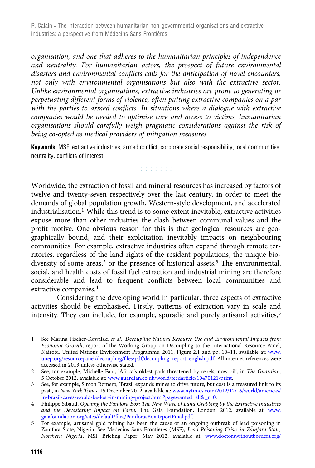organisation, and one that adheres to the humanitarian principles of independence and neutrality. For humanitarian actors, the prospect of future environmental disasters and environmental conflicts calls for the anticipation of novel encounters, not only with environmental organisations but also with the extractive sector. Unlike environmental organisations, extractive industries are prone to generating or perpetuating different forms of violence, often putting extractive companies on a par with the parties to armed conflicts. In situations where a dialogue with extractive companies would be needed to optimise care and access to victims, humanitarian organisations should carefully weigh pragmatic considerations against the risk of being co-opted as medical providers of mitigation measures.

Keywords: MSF, extractive industries, armed conflict, corporate social responsibility, local communities, neutrality, conflicts of interest.

#### and and and

Worldwide, the extraction of fossil and mineral resources has increased by factors of twelve and twenty-seven respectively over the last century, in order to meet the demands of global population growth, Western-style development, and accelerated industrialisation.1 While this trend is to some extent inevitable, extractive activities expose more than other industries the clash between communal values and the profit motive. One obvious reason for this is that geological resources are geographically bound, and their exploitation inevitably impacts on neighbouring communities. For example, extractive industries often expand through remote territories, regardless of the land rights of the resident populations, the unique biodiversity of some areas,<sup>2</sup> or the presence of historical assets.<sup>3</sup> The environmental, social, and health costs of fossil fuel extraction and industrial mining are therefore considerable and lead to frequent conflicts between local communities and extractive companies.<sup>4</sup>

Considering the developing world in particular, three aspects of extractive activities should be emphasised. Firstly, patterns of extraction vary in scale and intensity. They can include, for example, sporadic and purely artisanal activities,<sup>5</sup>

<sup>1</sup> See Marina Fischer-Kowalski et al., Decoupling Natural Resource Use and Environmental Impacts from Economic Growth, report of the Working Group on Decoupling to the International Resource Panel, Nairobi, United Nations Environment Programme, 2011, Figure 2.1 and pp. 10–11, available at: [www.](http://www.unep.org/resourcepanel/decoupling/files/pdf/decoupling_report_english.pdf) unep.org/resourcepanel/decoupling/fi[les/pdf/decoupling\\_report\\_english.pdf](http://www.unep.org/resourcepanel/decoupling/files/pdf/decoupling_report_english.pdf). All internet references were accessed in 2013 unless otherwise stated.

<sup>2</sup> See, for example, Michelle Faul, 'Africa's oldest park threatened by rebels, now oil', in The Guardian, 5 October 2012, available at: [www.guardian.co.uk/world/feedarticle/10470121/print](http://www.guardian.co.uk/world/feedarticle/10470121/print).

<sup>3</sup> See, for example, Simon Romero, 'Brazil expands mines to drive future, but cost is a treasured link to its past', in New York Times, 15 December 2012, available at: [www.nytimes.com/2012/12/16/world/americas/](http://www.nytimes.com/2012/12/16/world/americas/in-brazil-caves-would-be-lost-in-mining-project.html?pagewanted=all&_r=0) [in-brazil-caves-would-be-lost-in-mining-project.html?pagewanted=all&\\_r=0.](http://www.nytimes.com/2012/12/16/world/americas/in-brazil-caves-would-be-lost-in-mining-project.html?pagewanted=all&_r=0)

<sup>4</sup> Philippe Sibaud, Opening the Pandora Box: The New Wave of Land Grabbing by the Extractive industries and the Devastating Impact on Earth, The Gaia Foundation, London, 2012, available at: [www.](http://www.gaiafoundation.org/sites/default/files/PandorasBoxReportFinal.pdf) [gaiafoundation.org/sites/default/](http://www.gaiafoundation.org/sites/default/files/PandorasBoxReportFinal.pdf)files/PandorasBoxReportFinal.pdf.

<sup>5</sup> For example, artisanal gold mining has been the cause of an ongoing outbreak of lead poisoning in Zamfara State, Nigeria. See Médecins Sans Frontières (MSF), Lead Poisoning Crisis in Zamfara State, Northern Nigeria, MSF Briefing Paper, May 2012, available at: [www.doctorswithoutborders.org/](http://www.doctorswithoutborders.org/publications/reports/2012/Lead%20Poisoning%20Crisis%20in%20Zamfara%20State%20Northern%20Nigeria.pdf)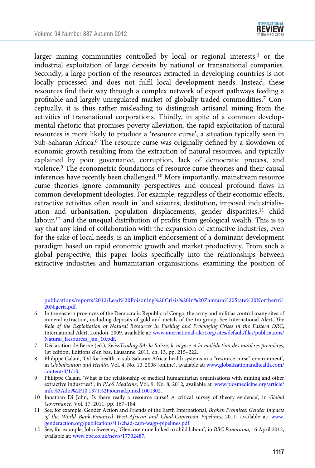

larger mining communities controlled by local or regional interests,<sup>6</sup> or the industrial exploitation of large deposits by national or transnational companies. Secondly, a large portion of the resources extracted in developing countries is not locally processed and does not fulfil local development needs. Instead, these resources find their way through a complex network of export pathways feeding a profitable and largely unregulated market of globally traded commodities.7 Conceptually, it is thus rather misleading to distinguish artisanal mining from the activities of transnational corporations. Thirdly, in spite of a common developmental rhetoric that promises poverty alleviation, the rapid exploitation of natural resources is more likely to produce a 'resource curse', a situation typically seen in Sub-Saharan Africa.<sup>8</sup> The resource curse was originally defined by a slowdown of economic growth resulting from the extraction of natural resources, and typically explained by poor governance, corruption, lack of democratic process, and violence.9 The econometric foundations of resource curse theories and their causal inferences have recently been challenged.10 More importantly, mainstream resource curse theories ignore community perspectives and conceal profound flaws in common development ideologies. For example, regardless of their economic effects, extractive activities often result in land seizures, destitution, imposed industrialisation and urbanisation, population displacements, gender disparities,<sup>11</sup> child labour,<sup>12</sup> and the unequal distribution of profits from geological wealth. This is to say that any kind of collaboration with the expansion of extractive industries, even for the sake of local needs, is an implicit endorsement of a dominant development paradigm based on rapid economic growth and market productivity. From such a global perspective, this paper looks specifically into the relationships between extractive industries and humanitarian organisations, examining the position of

[publications/reports/2012/Lead%20Poisoning%20Crisis%20in%20Zamfara%20State%20Northern%](http://www.doctorswithoutborders.org/publications/reports/2012/Lead%20Poisoning%20Crisis%20in%20Zamfara%20State%20Northern%20Nigeria.pdf) [20Nigeria.pdf](http://www.doctorswithoutborders.org/publications/reports/2012/Lead%20Poisoning%20Crisis%20in%20Zamfara%20State%20Northern%20Nigeria.pdf).

- 6 In the eastern provinces of the Democratic Republic of Congo, the army and militias control many sites of mineral extraction, including deposits of gold and metals of the tin group. See International Alert, The Role of the Exploitation of Natural Resources in Fuelling and Prolonging Crises in the Eastern DRC, International Alert, London, 2009, available at: [www.international-alert.org/sites/default/](http://www.international-alert.org/sites/default/files/publications/Natural_Resources_Jan_10.pdf)files/publications/ [Natural\\_Resources\\_Jan\\_10.pdf.](http://www.international-alert.org/sites/default/files/publications/Natural_Resources_Jan_10.pdf)
- 7 Déclaration de Berne (ed.), SwissTrading SA: la Suisse, le négoce et la malédiction des matières premières, 1st edition, Editions d'en bas, Lausanne, 2011, ch. 13, pp. 215–222.
- 8 Philippe Calain, 'Oil for health in sub-Saharan Africa: health systems in a "resource curse" environment', in Globalization and Health, Vol. 4, No. 10, 2008 (online), available at: [www.globalizationandhealth.com/](http://www.globalizationandhealth.com/content/4/1/10) [content/4/1/10](http://www.globalizationandhealth.com/content/4/1/10).
- 9 Philippe Calain, 'What is the relationship of medical humanitarian organisations with mining and other extractive industries?', in PLoS Medicine, Vol. 9, No. 8, 2012, available at: [www.plosmedicine.org/article/](http://www.plosmedicine.org/article/info%3Adoi%2F10.1371%2Fjournal.pmed.1001302) [info%3Adoi%2F10.1371%2Fjournal.pmed.1001302.](http://www.plosmedicine.org/article/info%3Adoi%2F10.1371%2Fjournal.pmed.1001302)
- 10 Jonathan Di John, 'Is there really a resource curse? A critical survey of theory evidence', in Global Governance, Vol. 17, 2011, pp. 167–184.
- 11 See, for example, Gender Action and Friends of the Earth International, Broken Promises: Gender Impacts of the World Bank-Financed West-African and Chad-Cameroon Pipelines, 2011, available at: [www.](http://www.genderaction.org/publications/11/chad-cam-wagp-pipelines.pdf) [genderaction.org/publications/11/chad-cam-wagp-pipelines.pdf.](http://www.genderaction.org/publications/11/chad-cam-wagp-pipelines.pdf)
- 12 See, for example, John Sweeney, 'Glencore mine linked to child labour', in BBC Panorama, 16 April 2012, available at: [www.bbc.co.uk/news/17702487.](http://www.bbc.co.uk/news/17702487)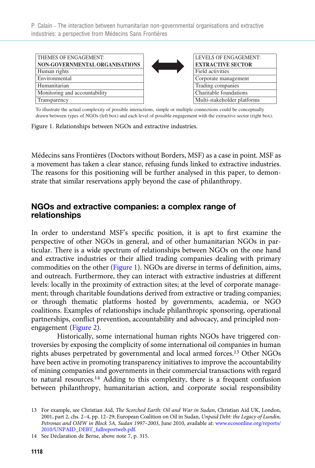P. Calain – The interaction between humanitarian non-governmental organisations and extractive industries: a perspective from Médecins Sans Frontières

| THEMES OF ENGAGEMENT:<br>NON-GOVERNMENTAL ORGANISATIONS |                        | LEVELS OF ENGAGEMENT:<br><b>EXTRACTIVE SECTOR</b> |  |
|---------------------------------------------------------|------------------------|---------------------------------------------------|--|
| Human rights                                            |                        | Field activities                                  |  |
| Environmental                                           | Corporate management   |                                                   |  |
| Humanitarian                                            |                        | Trading companies                                 |  |
| Monitoring and accountability                           | Charitable foundations |                                                   |  |
| Transparency                                            |                        | Multi-stakeholder platforms                       |  |

To illustrate the actual complexity of possible interactions, simple or multiple connections could be conceptually drawn between types of NGOs (left box) and each level of possible engagement with the extractive sector (right box).

Figure 1. Relationships between NGOs and extractive industries.

Médecins sans Frontières (Doctors without Borders, MSF) as a case in point. MSF as a movement has taken a clear stance, refusing funds linked to extractive industries. The reasons for this positioning will be further analysed in this paper, to demonstrate that similar reservations apply beyond the case of philanthropy.

## NGOs and extractive companies: a complex range of relationships

In order to understand MSF's specific position, it is apt to first examine the perspective of other NGOs in general, and of other humanitarian NGOs in particular. There is a wide spectrum of relationships between NGOs on the one hand and extractive industries or their allied trading companies dealing with primary commodities on the other (Figure 1). NGOs are diverse in terms of definition, aims, and outreach. Furthermore, they can interact with extractive industries at different levels: locally in the proximity of extraction sites; at the level of corporate management; through charitable foundations derived from extractive or trading companies; or through thematic platforms hosted by governments, academia, or NGO coalitions. Examples of relationships include philanthropic sponsoring, operational partnerships, conflict prevention, accountability and advocacy, and principled nonengagement ([Figure 2](#page-4-0)).

Historically, some international human rights NGOs have triggered controversies by exposing the complicity of some international oil companies in human rights abuses perpetrated by governmental and local armed forces.13 Other NGOs have been active in promoting transparency initiatives to improve the accountability of mining companies and governments in their commercial transactions with regard to natural resources.<sup>14</sup> Adding to this complexity, there is a frequent confusion between philanthropy, humanitarian action, and corporate social responsibility

<sup>13</sup> For example, see Christian Aid, The Scorched Earth: Oil and War in Sudan, Christian Aid UK, London, 2001, part 2, chs. 2–4, pp. 12–29; European Coalition on Oil in Sudan, Unpaid Debt: the Legacy of Lundin, Petronas and OMW in Block 5A, Sudan 1997–2003, June 2010, available at: [www.ecosonline.org/reports/](http://www.ecosonline.org/reports/2010/UNPAID_DEBT_fullreportweb.pdf) [2010/UNPAID\\_DEBT\\_fullreportweb.pdf](http://www.ecosonline.org/reports/2010/UNPAID_DEBT_fullreportweb.pdf).

<sup>14</sup> See Déclaration de Berne, above note 7, p. 315.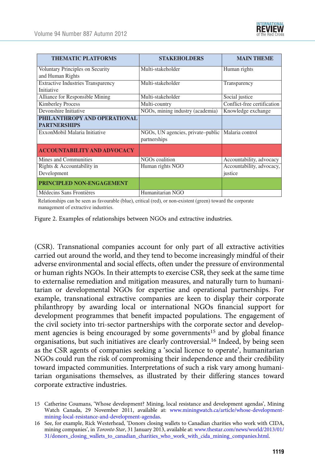

<span id="page-4-0"></span>

| <b>THEMATIC PLATFORMS</b>                           | <b>STAKEHOLDERS</b>                               | <b>MAIN THEME</b>           |
|-----------------------------------------------------|---------------------------------------------------|-----------------------------|
| Voluntary Principles on Security                    | Multi-stakeholder                                 | Human rights                |
| and Human Rights                                    |                                                   |                             |
| <b>Extractive Industries Transparency</b>           | Multi-stakeholder                                 | Transparency                |
| Initiative                                          |                                                   |                             |
| Alliance for Responsible Mining                     | Multi-stakeholder                                 | Social justice              |
| <b>Kimberley Process</b>                            | Multi-country                                     | Conflict-free certification |
| Devonshire Initiative                               | NGOs, mining industry (academia)                  | Knowledge exchange          |
| PHILANTHROPY AND OPERATIONAL<br><b>PARTNERSHIPS</b> |                                                   |                             |
| ExxonMobil Malaria Initiative                       | NGOs, UN agencies, private-public<br>partnerships | Malaria control             |
| <b>ACCOUNTABILITY AND ADVOCACY</b>                  |                                                   |                             |
| Mines and Communities                               | NGOs coalition                                    | Accountability, advocacy    |
| Rights & Accountability in                          | Human rights NGO                                  | Accountability, advocacy,   |
| Development                                         |                                                   | justice                     |
| PRINCIPLED NON-ENGAGEMENT                           |                                                   |                             |
| Médecins Sans Frontières                            | Humanitarian NGO                                  |                             |

Relationships can be seen as favourable (blue), critical (red), or non-existent (green) toward the corporate management of extractive industries.



(CSR). Transnational companies account for only part of all extractive activities carried out around the world, and they tend to become increasingly mindful of their adverse environmental and social effects, often under the pressure of environmental or human rights NGOs. In their attempts to exercise CSR, they seek at the same time to externalise remediation and mitigation measures, and naturally turn to humanitarian or developmental NGOs for expertise and operational partnerships. For example, transnational extractive companies are keen to display their corporate philanthropy by awarding local or international NGOs financial support for development programmes that benefit impacted populations. The engagement of the civil society into tri-sector partnerships with the corporate sector and development agencies is being encouraged by some governments<sup>15</sup> and by global finance organisations, but such initiatives are clearly controversial.16 Indeed, by being seen as the CSR agents of companies seeking a 'social licence to operate', humanitarian NGOs could run the risk of compromising their independence and their credibility toward impacted communities. Interpretations of such a risk vary among humanitarian organisations themselves, as illustrated by their differing stances toward corporate extractive industries.

<sup>15</sup> Catherine Coumans, 'Whose development? Mining, local resistance and development agendas', Mining Watch Canada, 29 November 2011, available at: [www.miningwatch.ca/article/whose-development](http://www.miningwatch.ca/article/whose-development-mining-local-resistance-and-development-agendas)[mining-local-resistance-and-development-agendas.](http://www.miningwatch.ca/article/whose-development-mining-local-resistance-and-development-agendas)

<sup>16</sup> See, for example, Rick Westerhead, 'Donors closing wallets to Canadian charities who work with CIDA, mining companies', in Toronto Star, 31 January 2013, available at: [www.thestar.com/news/world/2013/01/](http://www.thestar.com/news/world/2013/01/31/donors_closing_wallets_to_canadian_charities_who_work_with_cida_mining_companies.html) [31/donors\\_closing\\_wallets\\_to\\_canadian\\_charities\\_who\\_work\\_with\\_cida\\_mining\\_companies.html.](http://www.thestar.com/news/world/2013/01/31/donors_closing_wallets_to_canadian_charities_who_work_with_cida_mining_companies.html)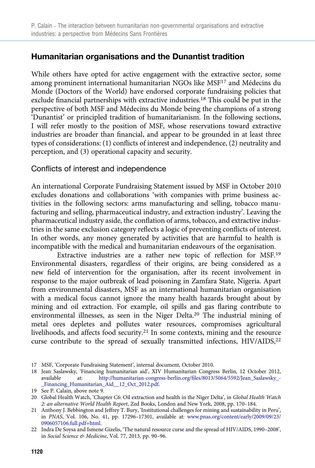# Humanitarian organisations and the Dunantist tradition

While others have opted for active engagement with the extractive sector, some among prominent international humanitarian NGOs like MSF17 and Médecins du Monde (Doctors of the World) have endorsed corporate fundraising policies that exclude financial partnerships with extractive industries.<sup>18</sup> This could be put in the perspective of both MSF and Médecins du Monde being the champions of a strong 'Dunantist' or principled tradition of humanitarianism. In the following sections, I will refer mostly to the position of MSF, whose reservations toward extractive industries are broader than financial, and appear to be grounded in at least three types of considerations: (1) conflicts of interest and independence, (2) neutrality and perception, and (3) operational capacity and security.

### Conflicts of interest and independence

An international Corporate Fundraising Statement issued by MSF in October 2010 excludes donations and collaborations 'with companies with prime business activities in the following sectors: arms manufacturing and selling, tobacco manufacturing and selling, pharmaceutical industry, and extraction industry'. Leaving the pharmaceutical industry aside, the conflation of arms, tobacco, and extractive industries in the same exclusion category reflects a logic of preventing conflicts of interest. In other words, any money generated by activities that are harmful to health is incompatible with the medical and humanitarian endeavours of the organisation.

Extractive industries are a rather new topic of reflection for MSF.19 Environmental disasters, regardless of their origins, are being considered as a new field of intervention for the organisation, after its recent involvement in response to the major outbreak of lead poisoning in Zamfara State, Nigeria. Apart from environmental disasters, MSF as an international humanitarian organisation with a medical focus cannot ignore the many health hazards brought about by mining and oil extraction. For example, oil spills and gas flaring contribute to environmental illnesses, as seen in the Niger Delta.20 The industrial mining of metal ores depletes and pollutes water resources, compromises agricultural livelihoods, and affects food security.<sup>21</sup> In some contexts, mining and the resource curse contribute to the spread of sexually transmitted infections, HIV/AIDS,<sup>22</sup>

<sup>17</sup> MSF, 'Corporate Fundraising Statement', internal document, October 2010.

<sup>18</sup> Jean Saslawsky, 'Financing humanitarian aid', XIV Humanitarian Congress Berlin, 12 October 2012, available at: [http://humanitarian-congress-berlin.org/](http://humanitarian-congress-berlin.org/files/8013/5064/5592/Jean_Saslawsky_-_Financing_Humanitarian_Aid__12_Oct_2012.pdf)files/8013/5064/5592/Jean\_Saslawsky\_- [\\_Financing\\_Humanitarian\\_Aid\\_\\_12\\_Oct\\_2012.pdf](http://humanitarian-congress-berlin.org/files/8013/5064/5592/Jean_Saslawsky_-_Financing_Humanitarian_Aid__12_Oct_2012.pdf).

<sup>19</sup> See P. Calain, above note 9.

<sup>20</sup> Global Health Watch, 'Chapter C6: Oil extraction and health in the Niger Delta', in Global Health Watch 2: an alternative World Health Report, Zed Books, London and New York, 2008, pp. 170–184.

<sup>21</sup> Anthony J. Bebbington and Jeffrey T. Bury, 'Institutional challenges for mining and sustainability in Peru', in PNAS, Vol. 106, No. 41, pp. 17296–17301, available at: [www.pnas.org/content/early/2009/09/23/](http://www.pnas.org/content/early/2009/09/23/0906057106.full.pdf+html) [0906057106.full.pdf+html.](http://www.pnas.org/content/early/2009/09/23/0906057106.full.pdf+html)

<sup>22</sup> Indra De Soysa and Ismene Gizelis, 'The natural resource curse and the spread of HIV/AIDS, 1990–2008', in Social Science & Medicine, Vol. 77, 2013, pp. 90–96.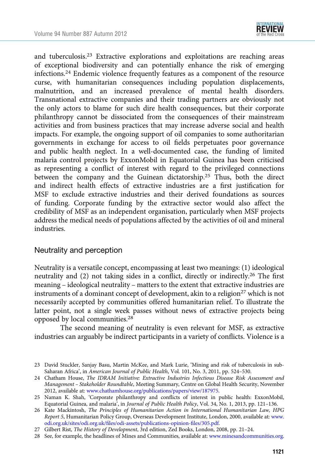

and tuberculosis.23 Extractive explorations and exploitations are reaching areas of exceptional biodiversity and can potentially enhance the risk of emerging infections.24 Endemic violence frequently features as a component of the resource curse, with humanitarian consequences including population displacements, malnutrition, and an increased prevalence of mental health disorders. Transnational extractive companies and their trading partners are obviously not the only actors to blame for such dire health consequences, but their corporate philanthropy cannot be dissociated from the consequences of their mainstream activities and from business practices that may increase adverse social and health impacts. For example, the ongoing support of oil companies to some authoritarian governments in exchange for access to oil fields perpetuates poor governance and public health neglect. In a well-documented case, the funding of limited malaria control projects by ExxonMobil in Equatorial Guinea has been criticised as representing a conflict of interest with regard to the privileged connections between the company and the Guinean dictatorship.25 Thus, both the direct and indirect health effects of extractive industries are a first justification for MSF to exclude extractive industries and their derived foundations as sources of funding. Corporate funding by the extractive sector would also affect the credibility of MSF as an independent organisation, particularly when MSF projects address the medical needs of populations affected by the activities of oil and mineral industries.

### Neutrality and perception

Neutrality is a versatile concept, encompassing at least two meanings: (1) ideological neutrality and (2) not taking sides in a conflict, directly or indirectly.26 The first meaning – ideological neutrality – matters to the extent that extractive industries are instruments of a dominant concept of development, akin to a religion<sup>27</sup> which is not necessarily accepted by communities offered humanitarian relief. To illustrate the latter point, not a single week passes without news of extractive projects being opposed by local communities.<sup>28</sup>

The second meaning of neutrality is even relevant for MSF, as extractive industries can arguably be indirect participants in a variety of conflicts. Violence is a

<sup>23</sup> David Stuckler, Sanjay Basu, Martin McKee, and Mark Lurie, 'Mining and risk of tuberculosis in sub-Saharan Africa', in American Journal of Public Health, Vol. 101, No. 3, 2011, pp. 524–530.

<sup>24</sup> Chatham House, The IDRAM Initiative: Extractive Industries Infectious Disease Risk Assessment and Management – Stakeholder Roundtable, Meeting Summary, Centre on Global Health Security, November 2012, available at: [www.chathamhouse.org/publications/papers/view/187975](http://www.chathamhouse.org/publications/papers/view/187975).

<sup>25</sup> Naman K. Shah, 'Corporate philanthropy and conflicts of interest in public health: ExxonMobil, Equatorial Guinea, and malaria', in Journal of Public Health Policy, Vol. 34, No. 1, 2013, pp. 121–136.

<sup>26</sup> Kate Mackintosh, The Principles of Humanitarian Action in International Humanitarian Law, HPG Report 5, Humanitarian Policy Group, Overseas Development Institute, London, 2000, available at: [www.](http://www.odi.org.uk/sites/odi.org.uk/files/odi-assets/publications-opinion-files/305.pdf) odi.org.uk/sites/odi.org.uk/fi[les/odi-assets/publications-opinion-](http://www.odi.org.uk/sites/odi.org.uk/files/odi-assets/publications-opinion-files/305.pdf)files/305.pdf.

<sup>27</sup> Gilbert Rist, The History of Development, 3rd edition, Zed Books, London, 2008, pp. 21–24.

<sup>28</sup> See, for example, the headlines of Mines and Communities, available at: [www.minesandcommunities.org](http://www.minesandcommunities.org).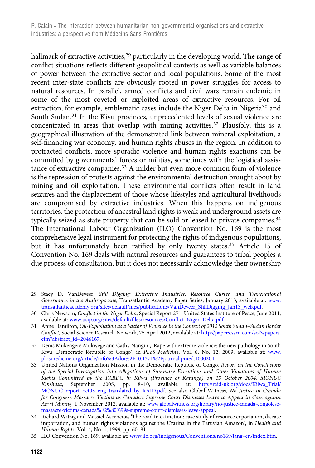hallmark of extractive activities,<sup>29</sup> particularly in the developing world. The range of conflict situations reflects different geopolitical contexts as well as variable balances of power between the extractive sector and local populations. Some of the most recent inter-state conflicts are obviously rooted in power struggles for access to natural resources. In parallel, armed conflicts and civil wars remain endemic in some of the most coveted or exploited areas of extractive resources. For oil extraction, for example, emblematic cases include the Niger Delta in Nigeria<sup>30</sup> and South Sudan.<sup>31</sup> In the Kivu provinces, unprecedented levels of sexual violence are concentrated in areas that overlap with mining activities.32 Plausibly, this is a geographical illustration of the demonstrated link between mineral exploitation, a self-financing war economy, and human rights abuses in the region. In addition to protracted conflicts, more sporadic violence and human rights exactions can be committed by governmental forces or militias, sometimes with the logistical assistance of extractive companies.<sup>33</sup> A milder but even more common form of violence is the repression of protests against the environmental destruction brought about by mining and oil exploitation. These environmental conflicts often result in land seizures and the displacement of those whose lifestyles and agricultural livelihoods are compromised by extractive industries. When this happens on indigenous territories, the protection of ancestral land rights is weak and underground assets are typically seized as state property that can be sold or leased to private companies.<sup>34</sup> The International Labour Organization (ILO) Convention No. 169 is the most comprehensive legal instrument for protecting the rights of indigenous populations, but it has unfortunately been ratified by only twenty states.<sup>35</sup> Article 15 of Convention No. 169 deals with natural resources and guarantees to tribal peoples a due process of consultation, but it does not necessarily acknowledge their ownership

- 29 Stacy D. VanDeveer, Still Digging: Extractive Industries, Resource Curses, and Transnational Governance in the Anthropocene, Transatlantic Academy Paper Series, January 2013, available at: [www.](http://www.transatlanticacademy.org/sites/default/files/publications/VanDeveer_StillDigging_Jan13_web.pdf) transatlanticacademy.org/sites/default/fi[les/publications/VanDeveer\\_StillDigging\\_Jan13\\_web.pdf](http://www.transatlanticacademy.org/sites/default/files/publications/VanDeveer_StillDigging_Jan13_web.pdf).
- 30 Chris Newsom, Conflict in the Niger Delta, Special Report 271, United States Institute of Peace, June 2011, available at: [www.usip.org/sites/default/](http://www.usip.org/sites/default/files/resources/Conflict_Niger_Delta.pdf)files/resources/Conflict\_Niger\_Delta.pdf.
- 31 Anne Hamilton, Oil-Exploitation as a Factor of Violence in the Context of 2012 South Sudan–Sudan Border Conflict, Social Science Research Network, 25 April 2012, available at: [http://papers.ssrn.com/sol3/papers.](http://papers.ssrn.com/sol3/papers.cfm?abstract_id=2046167) [cfm?abstract\\_id=2046167.](http://papers.ssrn.com/sol3/papers.cfm?abstract_id=2046167)
- 32 Denis Mukengere Mukwege and Cathy Nangini, 'Rape with extreme violence: the new pathology in South Kivu, Democratic Republic of Congo', in PLoS Medicine, Vol. 6, No. 12, 2009, available at: [www.](http://www.plosmedicine.org/article/info%3Adoi%2F10.1371%2Fjournal.pmed.1000204) [plosmedicine.org/article/info%3Adoi%2F10.1371%2Fjournal.pmed.1000204.](http://www.plosmedicine.org/article/info%3Adoi%2F10.1371%2Fjournal.pmed.1000204)
- 33 United Nations Organization Mission in the Democratic Republic of Congo, Report on the Conclusions of the Special Investigation into Allegations of Summary Executions and Other Violations of Human Rights Committed by the FARDC in Kilwa (Province of Katanga) on 15 October 2004, MONUC Kinshasa, September 2005, pp. 8–10, available at: [http://raid-uk.org/docs/Kilwa\\_Trial/](http://raid-uk.org/docs/Kilwa_Trial/MONUC_report_oct05_eng_translated_by_RAID.pdf) [MONUC\\_report\\_oct05\\_eng\\_translated\\_by\\_RAID.pdf.](http://raid-uk.org/docs/Kilwa_Trial/MONUC_report_oct05_eng_translated_by_RAID.pdf) See also Global Witness, No Justice in Canada for Congolese Massacre Victims as Canada's Supreme Court Dismisses Leave to Appeal in Case against Anvil Mining, 1 November 2012, available at: [www.globalwitness.org/library/no-justice-canada-congolese](http://www.globalwitness.org/library/no-justice-canada-congolese-massacre-victims-canada%E2%80%99s-supreme-court-dismisses-leave-appeal)[massacre-victims-canada%E2%80%99s-supreme-court-dismisses-leave-appeal](http://www.globalwitness.org/library/no-justice-canada-congolese-massacre-victims-canada%E2%80%99s-supreme-court-dismisses-leave-appeal).
- 34 Richard Witzig and Massiel Ascencios, 'The road to extinction: case study of resource exportation, disease importation, and human rights violations against the Urarina in the Peruvian Amazon', in Health and Human Rights, Vol. 4, No. 1, 1999, pp. 60–81.
- 35 ILO Convention No. 169, available at: [www.ilo.org/indigenous/Conventions/no169/lang](http://www.ilo.org/indigenous/Conventions/no169/lang–en/index.htm)–en/index.htm.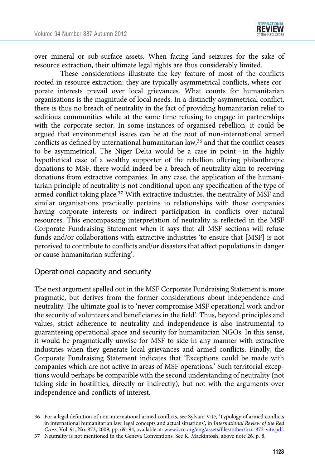over mineral or sub-surface assets. When facing land seizures for the sake of resource extraction, their ultimate legal rights are thus considerably limited.

These considerations illustrate the key feature of most of the conflicts rooted in resource extraction: they are typically asymmetrical conflicts, where corporate interests prevail over local grievances. What counts for humanitarian organisations is the magnitude of local needs. In a distinctly asymmetrical conflict, there is thus no breach of neutrality in the fact of providing humanitarian relief to seditious communities while at the same time refusing to engage in partnerships with the corporate sector. In some instances of organised rebellion, it could be argued that environmental issues can be at the root of non-international armed conflicts as defined by international humanitarian law,<sup>36</sup> and that the conflict ceases to be asymmetrical. The Niger Delta would be a case in point – in the highly hypothetical case of a wealthy supporter of the rebellion offering philanthropic donations to MSF, there would indeed be a breach of neutrality akin to receiving donations from extractive companies. In any case, the application of the humanitarian principle of neutrality is not conditional upon any specification of the type of armed conflict taking place.37 With extractive industries, the neutrality of MSF and similar organisations practically pertains to relationships with those companies having corporate interests or indirect participation in conflicts over natural resources. This encompassing interpretation of neutrality is reflected in the MSF Corporate Fundraising Statement when it says that all MSF sections will refuse funds and/or collaborations with extractive industries 'to ensure that [MSF] is not perceived to contribute to conflicts and/or disasters that affect populations in danger or cause humanitarian suffering'.

#### Operational capacity and security

The next argument spelled out in the MSF Corporate Fundraising Statement is more pragmatic, but derives from the former considerations about independence and neutrality. The ultimate goal is to 'never compromise MSF operational work and/or the security of volunteers and beneficiaries in the field'. Thus, beyond principles and values, strict adherence to neutrality and independence is also instrumental to guaranteeing operational space and security for humanitarian NGOs. In this sense, it would be pragmatically unwise for MSF to side in any manner with extractive industries when they generate local grievances and armed conflicts. Finally, the Corporate Fundraising Statement indicates that 'Exceptions could be made with companies which are not active in areas of MSF operations.' Such territorial exceptions would perhaps be compatible with the second understanding of neutrality (not taking side in hostilities, directly or indirectly), but not with the arguments over independence and conflicts of interest.

<sup>36</sup> For a legal definition of non-international armed conflicts, see Sylvain Vité, 'Typology of armed conflicts in international humanitarian law: legal concepts and actual situations', in International Review of the Red Cross, Vol. 91, No. 873, 2009, pp. 69–94, available at: www.icrc.org/eng/assets/fi[les/other/irrc-873-vite.pdf](http://www.icrc.org/eng/assets/files/other/irrc-873-vite.pdf).

<sup>37</sup> Neutrality is not mentioned in the Geneva Conventions. See K. Mackintosh, above note 26, p. 8.